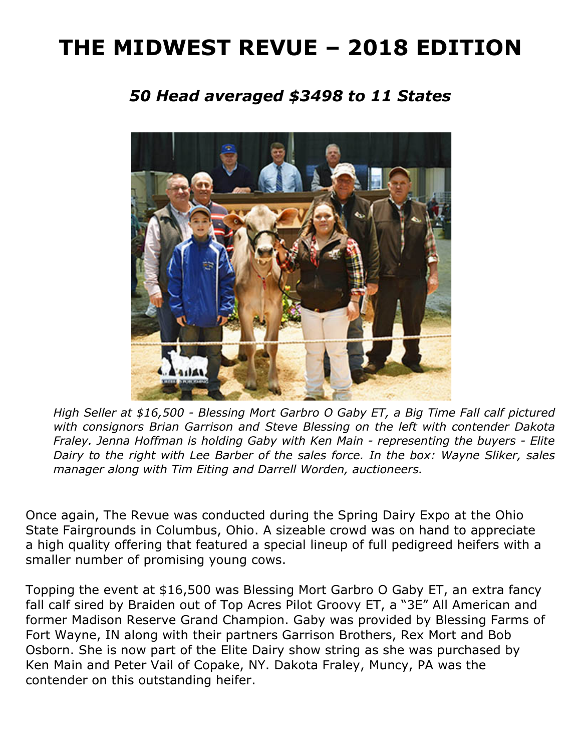# **THE MIDWEST REVUE – 2018 EDITION**

# *50 Head averaged \$3498 to 11 States*



*High Seller at \$16,500 - Blessing Mort Garbro O Gaby ET, a Big Time Fall calf pictured with consignors Brian Garrison and Steve Blessing on the left with contender Dakota Fraley. Jenna Hoffman is holding Gaby with Ken Main - representing the buyers - Elite Dairy to the right with Lee Barber of the sales force. In the box: Wayne Sliker, sales manager along with Tim Eiting and Darrell Worden, auctioneers.* 

Once again, The Revue was conducted during the Spring Dairy Expo at the Ohio State Fairgrounds in Columbus, Ohio. A sizeable crowd was on hand to appreciate a high quality offering that featured a special lineup of full pedigreed heifers with a smaller number of promising young cows.

Topping the event at \$16,500 was Blessing Mort Garbro O Gaby ET, an extra fancy fall calf sired by Braiden out of Top Acres Pilot Groovy ET, a "3E" All American and former Madison Reserve Grand Champion. Gaby was provided by Blessing Farms of Fort Wayne, IN along with their partners Garrison Brothers, Rex Mort and Bob Osborn. She is now part of the Elite Dairy show string as she was purchased by Ken Main and Peter Vail of Copake, NY. Dakota Fraley, Muncy, PA was the contender on this outstanding heifer.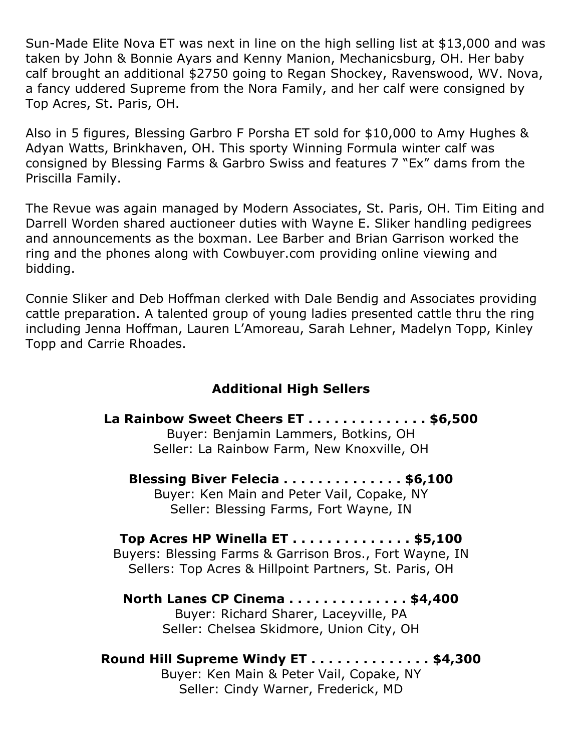Sun-Made Elite Nova ET was next in line on the high selling list at \$13,000 and was taken by John & Bonnie Ayars and Kenny Manion, Mechanicsburg, OH. Her baby calf brought an additional \$2750 going to Regan Shockey, Ravenswood, WV. Nova, a fancy uddered Supreme from the Nora Family, and her calf were consigned by Top Acres, St. Paris, OH.

Also in 5 figures, Blessing Garbro F Porsha ET sold for \$10,000 to Amy Hughes & Adyan Watts, Brinkhaven, OH. This sporty Winning Formula winter calf was consigned by Blessing Farms & Garbro Swiss and features 7 "Ex" dams from the Priscilla Family.

The Revue was again managed by Modern Associates, St. Paris, OH. Tim Eiting and Darrell Worden shared auctioneer duties with Wayne E. Sliker handling pedigrees and announcements as the boxman. Lee Barber and Brian Garrison worked the ring and the phones along with Cowbuyer.com providing online viewing and bidding.

Connie Sliker and Deb Hoffman clerked with Dale Bendig and Associates providing cattle preparation. A talented group of young ladies presented cattle thru the ring including Jenna Hoffman, Lauren L'Amoreau, Sarah Lehner, Madelyn Topp, Kinley Topp and Carrie Rhoades.

## **Additional High Sellers**

**La Rainbow Sweet Cheers ET . . . . . . . . . . . . . . \$6,500** Buyer: Benjamin Lammers, Botkins, OH Seller: La Rainbow Farm, New Knoxville, OH

**Blessing Biver Felecia . . . . . . . . . . . . . . \$6,100** Buyer: Ken Main and Peter Vail, Copake, NY Seller: Blessing Farms, Fort Wayne, IN

**Top Acres HP Winella ET . . . . . . . . . . . . . . \$5,100** Buyers: Blessing Farms & Garrison Bros., Fort Wayne, IN Sellers: Top Acres & Hillpoint Partners, St. Paris, OH

#### **North Lanes CP Cinema . . . . . . . . . . . . . . \$4,400** Buyer: Richard Sharer, Laceyville, PA Seller: Chelsea Skidmore, Union City, OH

**Round Hill Supreme Windy ET . . . . . . . . . . . . . . \$4,300** Buyer: Ken Main & Peter Vail, Copake, NY Seller: Cindy Warner, Frederick, MD